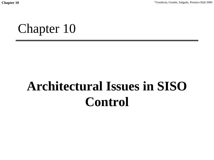Chapter 10 <sup>©</sup>Goodwin, Graebe, Salgado, Prentice Hall 2000

Chapter 10

# **Architectural Issues in SISO Control**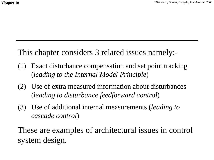#### This chapter considers 3 related issues namely:-

- (1) Exact disturbance compensation and set point tracking (*leading to the Internal Model Principle*)
- (2) Use of extra measured information about disturbances (*leading to disturbance feedforward control*)
- (3) Use of additional internal measurements (*leading to cascade control*)

These are examples of architectural issues in control system design.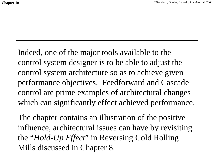Indeed, one of the major tools available to the control system designer is to be able to adjust the control system architecture so as to achieve given performance objectives. Feedforward and Cascade control are prime examples of architectural changes which can significantly effect achieved performance.

The chapter contains an illustration of the positive influence, architectural issues can have by revisiting the "*Hold-Up Effect*" in Reversing Cold Rolling Mills discussed in Chapter 8.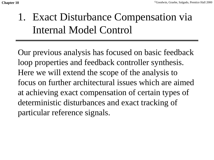### 1. Exact Disturbance Compensation via Internal Model Control

Our previous analysis has focused on basic feedback loop properties and feedback controller synthesis. Here we will extend the scope of the analysis to focus on further architectural issues which are aimedat achieving exact compensation of certain types of deterministic disturbances and exact tracking of particular reference signals.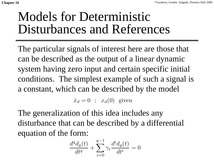## Models for DeterministicDisturbances and References

The particular signals of interest here are those that can be described as the output of a linear dynamic system having zero input and certain specific initial conditions. The simplest example of such a signal is a constant, which can be described by the model

> $\mathcal {X}% _{0}=\mathcal{X}_{0}$ ˙ $\dot{x}_d = 0$  ;  $x_d(0)$  given

The generalization of this idea includes any disturbance that can be described by a differential equation of the form:

$$
\frac{d^q d_g(t)}{dt^q} + \sum_{i=0}^{q-1} \gamma_i \frac{d^i d_g(t)}{dt^i} = 0
$$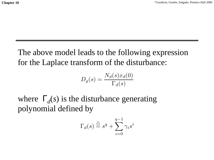The above model leads to the following expression for the Laplace transform of the disturbance:

$$
D_g(s) = \frac{N_d(s)x_d(0)}{\Gamma_d(s)}
$$

where  $\Gamma_d(s)$  is the disturbance generating polynomial defined by

$$
\Gamma_d(s) \stackrel{\triangle}{=} s^q + \sum_{i=0}^{q-1} \gamma_i s^i
$$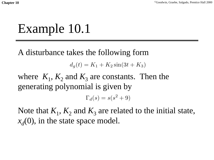# Example 10.1

A disturbance takes the following form

 $d_q(t) = K_1 + K_2 \sin(3t + K_3)$ 

where  $K_1$ ,  $K_2$  and  $K_3$  are constants. Then the generating polynomial is given by

 $\Gamma_d(s) = s(s^2 + 9)$ 

Note that  $K_1$ ,  $K_2$  and  $K_3$  are related to the initial state,  $x_d(0)$ , in the state space model.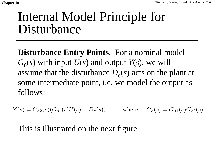## Internal Model Principle for Disturbance

**Disturbance Entry Points.** For a nominal model  $G_0(s)$  with input  $U(s)$  and output  $Y(s)$ , we will assume that the disturbance  $D<sub>g</sub>(s)$  acts on the plant at some intermediate point, i.e. we model the output as follows:

 $Y(s) = G_{o2}(s)(G_{o1}(s)U(s) + D_g(s))$  where  $G_o(s) = G_{o1}(s)G_{o2}(s)$ 

This is illustrated on the next figure.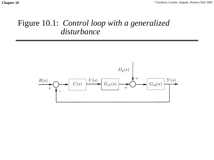#### Figure 10.1: *Control loop with a generalized disturbance*

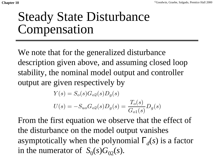# Steady State Disturbance Compensation

We note that for the generalized disturbance description given above, and assuming closed loop stability, the nominal model output and controller output are given respectively by

$$
Y(s) = S_o(s)G_{o2}(s)D_g(s)
$$
  

$$
U(s) = -S_{uo}G_{o2}(s)D_g(s) = \frac{T_o(s)}{G_{o1}(s)}D_g(s)
$$

From the first equation we observe that the effect of the disturbance on the model output vanishes asymptotically when the polynomial  $\Gamma_d(s)$  is a factor in the numerator of  $S_0(s)G_{02}(s)$ .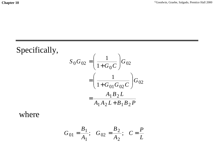#### Specifically,  $A_1A_2L + B_1B_2P$  $A_1$   $B_2$   $L$  $\frac{1}{1+G_{01}G_{02}C}$   $G_{02}$  $\frac{1}{G_0 C}$   $G$  $S_0 G_{02} = \left(\frac{1}{1+G_0 C}\right) G_{02}$  $1$   $1$   $2$   $L$   $T$   $D$   $1$   $D$   $2$  $1$   $D$   $2$  $0\,\mathbf{0}02$  -  $\frac{1}{1}$ 1 1 + = |<br>|<br>|  $=\left(\frac{1}{1+G_{01}G_{02}C}\right)$ |<br>|<br>|  $=\left(\frac{1}{1+G_0C}\right)$

where

$$
G_{01} = \frac{B_1}{A_1}; \quad G_{02} = \frac{B_2}{A_2}; \quad C = \frac{P}{L}
$$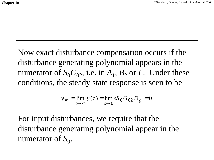Now exact disturbance compensation occurs if the disturbance generating polynomial appears in the numerator of  $S_0G_0$ , i.e. in  $A_1$ ,  $B_2$  or *L*. Under these conditions, the steady state response is seen to be

$$
y_{\infty} = \lim_{t \to \infty} y(t) = \lim_{s \to 0} sS_0 G_{02} D_g = 0
$$

For input disturbances, we require that the disturbance generating polynomial appear in the numerator of  $S_0$ .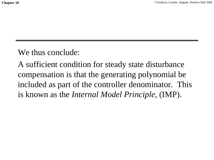#### We thus conclude:

A sufficient condition for steady state disturbance compensation is that the generating polynomial be included as part of the controller denominator. This is known as the *Internal Model Principle*, (IMP).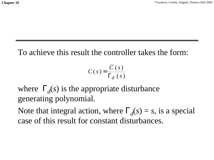To achieve this result the controller takes the form:

$$
C(s) = \frac{\overline{C}(s)}{\Gamma_d(s)}
$$

where  $\Gamma_d(s)$  is the appropriate disturbance generating polynomial.

Note that integral action, where  $\Gamma_d(s) = s$ , is a special case of this result for constant disturbances.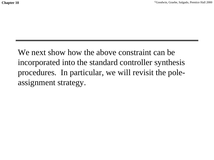We next show how the above constraint can be incorporated into the standard controller synthesis procedures. In particular, we will revisit the poleassignment strategy.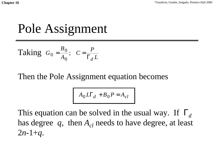## Pole Assignment

Taking 
$$
G_0 = \frac{B_0}{A_0}
$$
;  $C = \frac{P}{\Gamma_d L}$ 

#### Then the Pole Assignment equation becomes

$$
A_0 L \Gamma_d + B_0 P = A_{cl}
$$

This equation can be solved in the usual way. If Γ*d*has degree  $q$ , then  $A_{cl}$  needs to have degree, at least  $2n-1+q$ .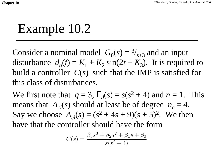# Example 10.2

Consider a nominal model  $G_0(s) = \frac{3}{s+3}$  and an input disturbance  $d_g(t) = K_1 + K_2 \sin(2t + K_3)$ . It is required to build a controller *C*(*s*) such that the IMP is satisfied for this class of disturbances.

We first note that  $q = 3$ ,  $\Gamma_d(s) = s(s^2 + 4)$  and  $n = 1$ . This means that  $A_c(s)$  should at least be of degree  $n_c = 4$ . Say we choose  $A_{c}(s) = (s^2 + 4s + 9)(s + 5)^2$ . We then have that the controller should have the form

$$
C(s) = \frac{\beta_3 s^3 + \beta_2 s^2 + \beta_1 s + \beta_0}{s(s^2 + 4)}
$$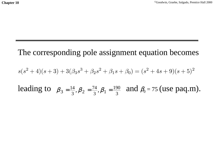#### The corresponding pole assignment equation becomes leading to  $\beta_3 = \frac{14}{3}, \beta_2 = \frac{74}{3}, \beta_1 = \frac{190}{3}$  and  $\beta_0 = 75$  (use paq.m).  $s(s^{2} + 4)(s + 3) + 3(\beta_{3}s^{3} + \beta_{2}s^{2} + \beta_{1}s + \beta_{0}) = (s^{2} + 4s + 9)(s + 5)^{2}$  $\frac{74}{3}, \beta_1 = \frac{190}{3}$  $\frac{4}{3}, \beta_2 = \frac{74}{3}$  $\beta_3 = \frac{14}{3}, \beta_2 = \frac{74}{3}, \beta_1 =$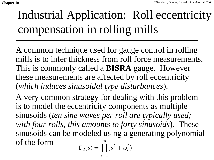# Industrial Application: Roll eccentricity compensation in rolling mills

A common technique used for gauge control in rolling mills is to infer thickness from roll force measurements. This is commonly called a **BISRA** gauge. However these measurements are affected by roll eccentricity (*which induces sinusoidal type disturbances*).

A very common strategy for dealing with this problem is to model the eccentricity components as multiple sinusoids (*ten sine waves per roll are typically used; with four rolls, this amounts to forty sinusoids*). These sinusoids can be modeled using a generating polynomial of the form*m*

$$
\Gamma_d(s) = \prod_{i=1} (s^2 + \omega_i^2)
$$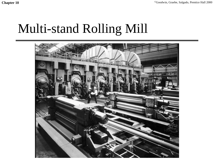# Multi-stand Rolling Mill

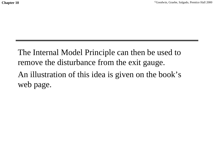The Internal Model Principle can then be used to remove the disturbance from the exit gauge. An illustration of this idea is given on the book's web page.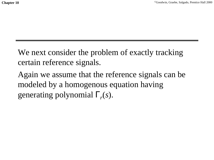We next consider the problem of exactly tracking certain reference signals.

Again we assume that the reference signals can be modeled by a homogenous equation having generating polynomial Γ*r*(*s*).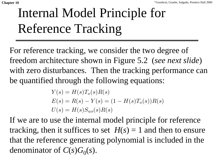# Internal Model Principle for Reference Tracking

For reference tracking, we consider the two degree of freedom architecture shown in Figure 5.2 (*see next slide*) with zero disturbances. Then the tracking performance can be quantified through the following equations:

$$
Y(s) = H(s)T_o(s)R(s)
$$
  
\n
$$
E(s) = R(s) - Y(s) = (1 - H(s)T_o(s))R(s)
$$
  
\n
$$
U(s) = H(s)S_{uo}(s)R(s)
$$

If we are to use the internal model principle for reference tracking, then it suffices to set  $H(s) = 1$  and then to ensure that the reference generating polynomial is included in the denominator of  $C(s)G_0(s)$ .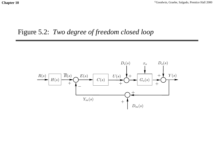#### Figure 5.2: *Two degree of freedom closed loop*

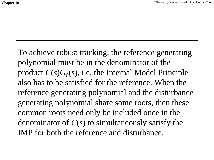To achieve robust tracking, the reference generating polynomial must be in the denominator of the product  $C(s)G_0(s)$ , i.e. the Internal Model Principle also has to be satisfied for the reference. When thereference generating polynomial and the disturbance generating polynomial share some roots, then these common roots need only be included once in the denominator of *C*(*s*) to simultaneously satisfy the IMP for both the reference and disturbance.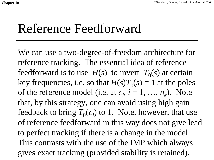## Reference Feedforward

We can use a two-degree-of-freedom architecture for reference tracking. The essential idea of reference feedforward is to use  $H(s)$  to invert  $T_0(s)$  at certain key frequencies, i.e. so that  $H(s)T_0(s) = 1$  at the poles of the reference model (i.e. at  $\epsilon_i$ ,  $i = 1, ..., n_e$ ). Note that, by this strategy, one can avoid using high gain feedback to bring  $T_0(\epsilon_i)$  to 1. Note, however, that use of reference feedforward in this way does not give lead to perfect tracking if there is a change in the model. This contrasts with the use of the IMP which always gives exact tracking (provided stability is retained).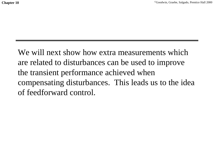We will next show how extra measurements which are related to disturbances can be used to improve the transient performance achieved when compensating disturbances. This leads us to the idea of feedforward control.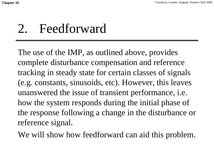# 2. Feedforward

The use of the IMP, as outlined above, provides complete disturbance compensation and reference tracking in steady state for certain classes of signals (e.g. constants, sinusoids, etc). However, this leaves unanswered the issue of transient performance, i.e. how the system responds during the initial phase of the response following a change in the disturbance or reference signal.

We will show how feedforward can aid this problem.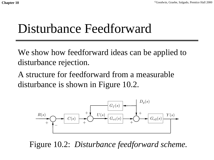## Disturbance Feedforward

We show how feedforward ideas can be applied to disturbance rejection.

A structure for feedforward from a measurabledisturbance is shown in Figure 10.2.



Figure 10.2: *Disturbance feedforward scheme.*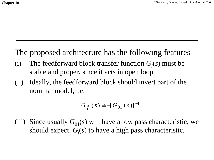#### The proposed architecture has the following features

- (i) The feedforward block transfer function  $G_f(s)$  must be stable and proper, since it acts in open loop.
- (ii) Ideally, the feedforward block should invert part of the nominal model, i.e.

 $G_f(s) \equiv -[G_{01}(s)]^{-1}$ 

(iii) Since usually  $G_{01}(s)$  will have a low pass characteristic, we should expect  $G_f(s)$  to have a high pass characteristic.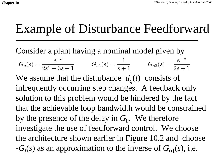# Example of Disturbance Feedforward

Consider a plant having a nominal model given by

$$
G_o(s) = \frac{e^{-s}}{2s^2 + 3s + 1}
$$
\n
$$
G_{o1}(s) = \frac{1}{s + 1}
$$
\n
$$
G_{o2}(s) = \frac{e^{-s}}{2s + 1}
$$

We assume that the disturbance  $d_e(t)$  consists of infrequently occurring step changes. A feedback only solution to this problem would be hindered by the fact that the achievable loop bandwidth would be constrained by the presence of the delay in  $G_0$ . We therefore investigate the use of feedforward control. We choose the architecture shown earlier in Figure 10.2 and choose  $-G<sub>f</sub>(s)$  as an approximation to the inverse of  $G<sub>01</sub>(s)$ , i.e.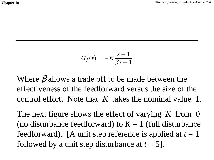$$
G_f(s) = -K \frac{s+1}{\beta s + 1}
$$

Where  $\beta$  allows a trade off to be made between the effectiveness of the feedforward versus the size of the control effort. Note that *K* takes the nominal value 1.

The next figure shows the effect of varying *K* from 0 (no disturbance feedforward) to  $K = 1$  (full disturbance feedforward). [A unit step reference is applied at  $t = 1$ followed by a unit step disturbance at  $t = 5$ .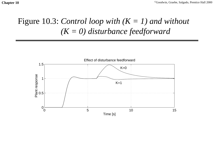### Figure 10.3: *Control loop with (K = 1) and without (K = 0) disturbance feedforward*

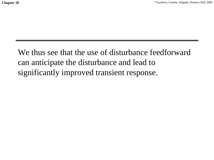We thus see that the use of disturbance feedforwardcan anticipate the disturbance and lead to significantly improved transient response.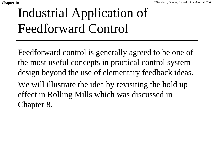# Industrial Application of Feedforward Control

Feedforward control is generally agreed to be one of the most useful concepts in practical control system design beyond the use of elementary feedback ideas. We will illustrate the idea by revisiting the hold up effect in Rolling Mills which was discussed in Chapter 8.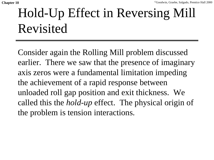# Hold-Up Effect in Reversing Mill Revisited

Consider again the Rolling Mill problem discussed earlier. There we saw that the presence of imaginary axis zeros were a fundamental limitation impeding the achievement of a rapid response between unloaded roll gap position and exit thickness. We called this the *hold-up* effect. The physical origin of the problem is tension interactions.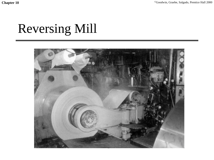# Reversing Mill

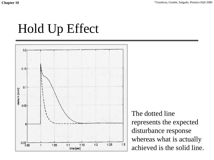# Hold Up Effect



The dotted linerepresents the expected disturbance response whereas what is actually achieved is the solid line.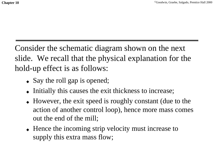Consider the schematic diagram shown on the next slide. We recall that the physical explanation for the hold-up effect is as follows:

- Say the roll gap is opened;
- ◆ Initially this causes the exit thickness to increase;
- ◆ However, the exit speed is roughly constant (due to the action of another control loop), hence more mass comes out the end of the mill;
- ◆ Hence the incoming strip velocity must increase to supply this extra mass flow;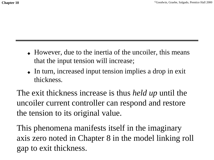- However, due to the inertia of the uncoiler, this means that the input tension will increase;
- ◆ In turn, increased input tension implies a drop in exit thickness.

The exit thickness increase is thus *held up* until the uncoiler current controller can respond and restore the tension to its original value.

This phenomena manifests itself in the imaginary axis zero noted in Chapter 8 in the model linking roll gap to exit thickness.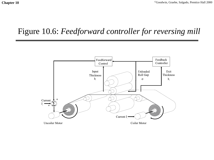#### Figure 10.6: *Feedforward controller for reversing mill*

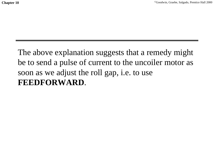The above explanation suggests that a remedy might be to send a pulse of current to the uncoiler motor as soon as we adjust the roll gap, i.e. to use **FEEDFORWARD**.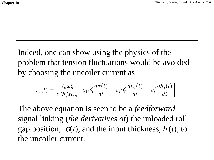Indeed, one can show using the physics of the problem that tension fluctuations would be avoided by choosing the uncoiler current as

$$
i_u(t) = \frac{J_u \omega_u^o}{v_i^o h_i^o K_m} \left[ c_1 v_0^o \frac{d\sigma(t)}{dt} + c_2 v_0^o \frac{dh_i(t)}{dt} - v_i^o \frac{dh_i(t)}{dt} \right]
$$

The above equation is seen to be a *feedforward* signal linking (*the derivatives of*) the unloaded roll gap position,  $\sigma(t)$ , and the input thickness,  $h_i(t)$ , to the uncoiler current.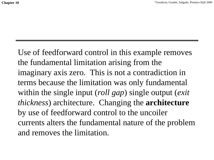Use of feedforward control in this example removes the fundamental limitation arising from the imaginary axis zero. This is not a contradiction in terms because the limitation was only fundamental within the single input (*roll gap*) single output (*exit thickness*) architecture. Changing the **architecture** by use of feedforward control to the uncoiler currents alters the fundamental nature of the problem and removes the limitation.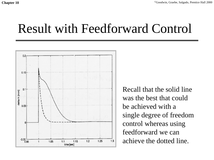### Result with Feedforward Control



Recall that the solid linewas the best that couldbe achieved with asingle degree of freedom control whereas using feedforward we canachieve the dotted line.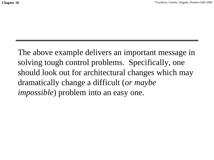The above example delivers an important message in solving tough control problems. Specifically, one should look out for architectural changes which may dramatically change a difficult (*or maybe impossible*) problem into an easy one.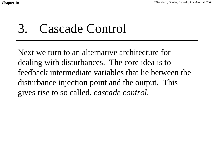## 3. Cascade Control

Next we turn to an alternative architecture for dealing with disturbances. The core idea is to feedback intermediate variables that lie between thedisturbance injection point and the output. This gives rise to so called, *cascade control*.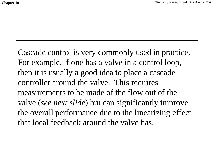Cascade control is very commonly used in practice. For example, if one has a valve in a control loop, then it is usually a good idea to place a cascade controller around the valve. This requires measurements to be made of the flow out of thevalve (*see next slide*) but can significantly improve the overall performance due to the linearizing effect that local feedback around the valve has.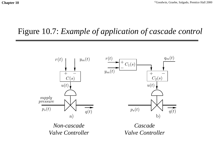#### Figure 10.7: *Example of application of cascade control*



*Non-cascadeValve Controller*

*Cascade Valve Controller*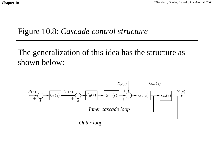#### Figure 10.8: *Cascade control structure*

The generalization of this idea has the structure as shown below:



*Outer loop*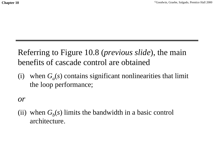#### Referring to Figure 10.8 (*previous slide*), the main benefits of cascade control are obtained

(i) when  $G<sub>a</sub>(s)$  contains significant nonlinearities that limit the loop performance;

*or*

(ii) when  $G<sub>b</sub>(s)$  limits the bandwidth in a basic control architecture.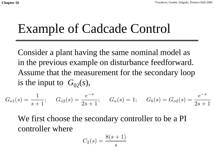# Example of Cadcade Control

Consider a plant having the same nominal model as in the previous example on disturbance feedforward. Assume that the measurement for the secondary loop is the input to  $G_{02}(s)$ ,

$$
G_{o1}(s) = \frac{1}{s+1}; \quad G_{o2}(s) = \frac{e^{-s}}{2s+1}; \quad G_a(s) = 1; \quad G_b(s) = G_{o2}(s) = \frac{e^{-s}}{2s+1}
$$

We first choose the secondary controller to be a PI controller where

$$
C_2(s)=\frac{8(s+1)}{s}
$$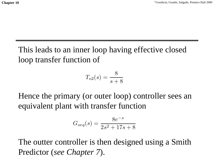This leads to an inner loop having effective closed loop transfer function of

$$
T_{o2}(s) = \frac{8}{s+8}
$$

Hence the primary (or outer loop) controller sees an equivalent plant with transfer function

$$
G_{oeq}(s) = \frac{8e^{-s}}{2s^2 + 17s + 8}
$$

The outter controller is then designed using a Smith Predictor (*see Chapter 7*).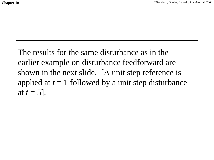The results for the same disturbance as in theearlier example on disturbance feedforward are shown in the next slide. [A unit step reference is applied at  $t = 1$  followed by a unit step disturbance at  $t = 5$ ].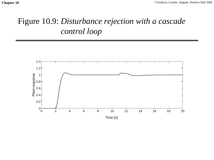### Figure 10.9: *Disturbance rejection with a cascade control loop*

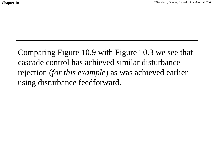Comparing Figure 10.9 with Figure 10.3 we see that cascade control has achieved similar disturbancerejection (*for this example*) as was achieved earlier using disturbance feedforward.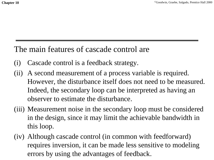#### The main features of cascade control are

- (i) Cascade control is a feedback strategy.
- (ii) A second measurement of a process variable is required. However, the disturbance itself does not need to be measured. Indeed, the secondary loop can be interpreted as having an observer to estimate the disturbance.
- (iii) Measurement noise in the secondary loop must be considered in the design, since it may limit the achievable bandwidth in this loop.
- (iv) Although cascade control (in common with feedforward) requires inversion, it can be made less sensitive to modeling errors by using the advantages of feedback.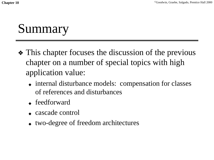# Summary

- ❖ This chapter focuses the discussion of the previous chapter on a number of special topics with high application value:
	- ◆ internal disturbance models: compensation for classes of references and disturbances
	- ◆ feedforward
	- ◆ cascade control
	- ◆ two-degree of freedom architectures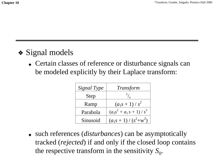### ❖ Signal models

◆ Certain classes of reference or disturbance signals can be modeled explicitly by their Laplace transform:

| Signal Type | Transform                 |
|-------------|---------------------------|
| <b>Step</b> |                           |
| Ramp        | $(a_1s+1)/s^2$            |
| Parabola    | $(a_2s^2 + a_1s + 1)/s^3$ |
| Sinusoid    | $(a_1s + 1) / (s^2+w^2)$  |

◆ such references (*disturbances*) can be asymptotically tracked (*rejected*) if and only if the closed loop contains the respective transform in the sensitivity  $S_0$ .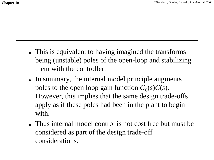- ◆ This is equivalent to having imagined the transforms being (unstable) poles of the open-loop and stabilizing them with the controller.
- ◆ In summary, the internal model principle augments poles to the open loop gain function  $G_0(s)C(s)$ . However, this implies that the same design trade-offs apply as if these poles had been in the plant to begin with.
- Thus internal model control is not cost free but must be considered as part of the design trade-off considerations.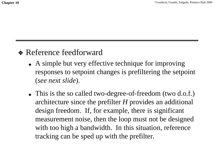#### ❖ Reference feedforward

- ◆ A simple but very effective technique for improving responses to setpoint changes is prefiltering the setpoint (*see next slide*).
- ◆ This is the so called two-degree-of-freedom (two d.o.f.) architecture since the prefilter *H* provides an additional design freedom. If, for example, there is significant measurement noise, then the loop must not be designed with too high a bandwidth. In this situation, reference tracking can be sped up with the prefilter.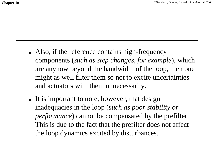- ◆ Also, if the reference contains high-frequency components (*such as step changes, for example*), which are anyhow beyond the bandwidth of the loop, then one might as well filter them so not to excite uncertainties and actuators with them unnecessarily.
- ◆ It is important to note, however, that design inadequacies in the loop (*such as poor stability or performance*) cannot be compensated by the prefilter. This is due to the fact that the prefilter does not affect the loop dynamics excited by disturbances.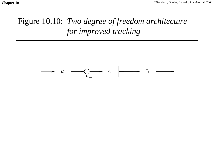### Figure 10.10: *Two degree of freedom architecture for improved tracking*

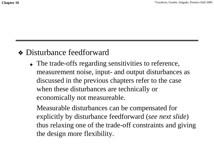#### ❖ Disturbance feedforward

◆ The trade-offs regarding sensitivities to reference, measurement noise, input- and output disturbances as discussed in the previous chapters refer to the case when these disturbances are technically or economically not measureable.

Measurable disturbances can be compensated for explicitly by disturbance feedforward (*see next slide*) thus relaxing one of the trade-off constraints and giving the design more flexibility.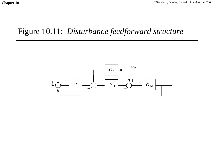#### Figure 10.11: *Disturbance feedforward structure*

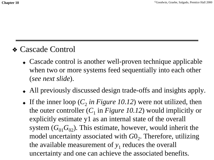#### ❖ Cascade Control

- Cascade control is another well-proven technique applicable when two or more systems feed sequentially into each other (*see next slide*).
- ◆ All previously discussed design trade-offs and insights apply.
- If the inner loop  $(C_2$  *in Figure 10.12*) were not utilized, then the outer controller  $(C_1$  in *Figure 10.12*) would implicitly or explicitly estimate y1 as an internal state of the overall system  $(G_{01}G_{02})$ . This estimate, however, would inherit the model uncertainty associated with *G*0<sub>2</sub>. Therefore, utilizing the available measurement of  $y_1$  reduces the overall uncertainty and one can achieve the associated benefits.